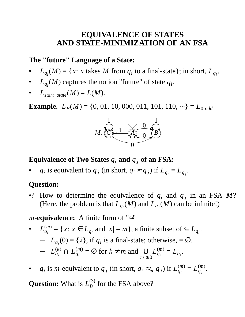# **EQUIVALENCE OF STATES AND STATE-MINIMIZATION OF AN FSA**

#### **The "future" Language of a State:**

- $L_{q_i}(M) = \{x: x \text{ takes } M \text{ from } q_i \text{ to a final-state}\}; \text{ in short, } L_{q_i}.$
- $L_{q_i}(M)$  captures the notion "future" of state  $q_i$ .
- $L_{\text{start-state}}(M) = L(M).$

**Example.**  $L_B(M) = \{0, 01, 10, 000, 011, 101, 110, \cdots\} = L_{0-odd}$ 



#### **Equivalence of Two States**  $q_i$  **and**  $q_j$  **of an FSA:**

• *q<sub>i</sub>* is equivalent to  $q_j$  (in short,  $q_i \approx q_j$ ) if  $L_{q_i} = L_{q_j}$ .

#### **Question:**

•? How to determine the equivalence of  $q_i$  and  $q_j$  in an FSA  $M$ ? (Here, the problem is that  $L_{q_i}(M)$  and  $L_{q_j}(M)$  can be infinite!)

*m***-equivalence:** A finite form of "≈"

• 
$$
L_{q_i}^{(m)} = \{x: x \in L_{q_i} \text{ and } |x| = m\}
$$
, a finite subset of  $\subseteq L_{q_i}$ .  
\n-  $L_{q_i}(0) = \{\lambda\}$ , if  $q_i$  is a final-state; otherwise,  $= \emptyset$ .  
\n-  $L_{q_i}^{(k)} \cap L_{q_i}^{(m)} = \emptyset$  for  $k \neq m$  and  $\bigcup_{m \geq 0} L_{q_i}^{(m)} = L_{q_i}$ .

• *q<sub>i</sub>* is *m*-equivalent to  $q_j$  (in short,  $q_i \approx_m q_j$ ) if  $L_{q_i}^{(m)}$  $q_i^{(m)} = L_{q_j}^{(m)}$ *q j* .

**Question:** What is  $L_B^{(3)}$  $B^{\left( 3\right) }$  for the FSA above?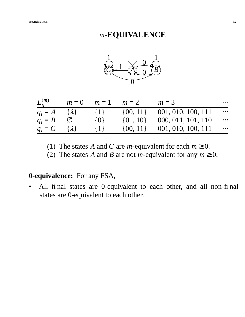# *m***-EQUIVALENCE**



| $L_{q_i}^{(m)}$ | $m=0$                                   | $m=1$   | $m=2$        | $m=3$              | $\cdots$ |
|-----------------|-----------------------------------------|---------|--------------|--------------------|----------|
| $q_i = A$       | $\begin{bmatrix} \lambda \end{bmatrix}$ | $\{1\}$ | $\{00, 11\}$ | 001, 010, 100, 111 | $\ldots$ |
| $q_i = B$       |                                         | $\{0\}$ | $\{01, 10\}$ | 000, 011, 101, 110 | $\cdots$ |
| $q_i = C$       | $\{\lambda\}$                           | $\{1\}$ | $\{00, 11\}$ | 001, 010, 100, 111 | $\cdots$ |

(1) The states *A* and *C* are *m*-equivalent for each  $m \ge 0$ .

(2) The states *A* and *B* are not *m*-equivalent for any  $m \ge 0$ .

## **0-equivalence:** For any FSA,

• All final states are 0-equivalent to each other, and all non-final states are 0-equivalent to each other.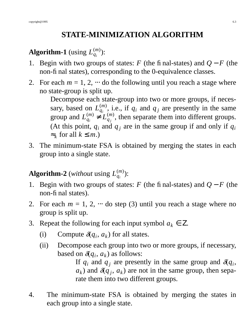# **STATE-MINIMIZATION ALGORITHM**

#### **Algorithm-1** (using  $L_a^{(m)}$  $\binom{(m)}{q_i}$ :

- 1. Begin with two groups of states: *F* (the final-states) and *Q* − *F* (the non-final states), corresponding to the 0-equivalence classes.
- 2. For each  $m = 1, 2, \dots$  do the following until you reach a stage where no state-group is split up.

Decompose each state-group into two or more groups, if necessary, based on  $L_{a}^{(m)}$  $q_i^{(m)}$ , i.e., if  $q_i$  and  $q_j$  are presently in the same group and  $L_{a}^{(m)}$  $q_i^{(m)}$  ≠  $L_{q_j}^{(m)}$  $\binom{m}{q_j}$ , then separate them into different groups. (At this point,  $q_i$  and  $q_j$  are in the same group if and only if  $q_i$ ≈*k* for all *k* ≤ *m*.)

3. The minimum-state FSA is obtained by merging the states in each group into a single state.

#### **Algorithm-2** (*without* using  $L_a^{(m)}$  $\binom{(m)}{q_i}$ :

- 1. Begin with two groups of states: *F* (the final-states) and *Q* − *F* (the non-final states).
- 2. For each  $m = 1, 2, \dots$  do step (3) until you reach a stage where no group is split up.
- 3. Repeat the following for each input symbol  $a_k \in \mathbb{Z}$ .
	- (i) Compute  $\delta(q_i, a_k)$  for all states.
	- (ii) Decompose each group into two or more groups, if necessary, based on  $\delta(q_i, a_k)$  as follows:

If  $q_i$  and  $q_j$  are presently in the same group and  $\delta q_i$ ,  $a_k$ ) and  $\delta(q_j, a_k)$  are not in the same group, then separate them into two different groups.

4. The minimum-state FSA is obtained by merging the states in each group into a single state.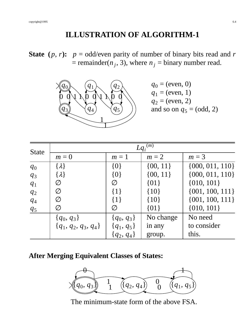# **ILLUSTRATION OF ALGORITHM-1**

**State**  $(p, r)$ :  $p = \text{odd/even parity of number of binary bits read and r$  $=$  remainder( $n_j$ , 3), where  $n_j$  = binary number read.



 $q_0$  = (even, 0)  $q_1$  = (even, 1)  $q_2$  = (even, 2) and so on  $q_5$  = (odd, 2)

| <b>State</b>   | $Lq_i^{(m)}$             |                |              |                     |  |
|----------------|--------------------------|----------------|--------------|---------------------|--|
|                | $m=0$                    | $m=1$          | $m=2$        | $m=3$               |  |
| $q_0$          | $\{\lambda\}$            | $\{0\}$        | $\{00, 11\}$ | $\{000, 011, 110\}$ |  |
| $q_3$          | $\{\lambda\}$            | $\{0\}$        | $\{00, 11\}$ | $\{000, 011, 110\}$ |  |
| $q_1$          | Ø                        | Ø              | ${01}$       | $\{010, 101\}$      |  |
| $q_2$          | Ø                        | $\{1\}$        | ${10}$       | $\{001, 100, 111\}$ |  |
| $q_4$          | Ø                        | $\{1\}$        | ${10}$       | $\{001, 100, 111\}$ |  |
| q <sub>5</sub> | Ø                        | Ø              | ${01}$       | $\{010, 101\}$      |  |
|                | $\{q_0, q_3\}$           | $\{q_0, q_3\}$ | No change    | No need             |  |
|                | $\{q_1, q_2, q_3, q_4\}$ | $\{q_1, q_5\}$ | in any       | to consider         |  |
|                |                          | $\{q_2, q_4\}$ | group.       | this.               |  |

#### **After Merging Equivalent Classes of States:**



The minimum-state form of the above FSA.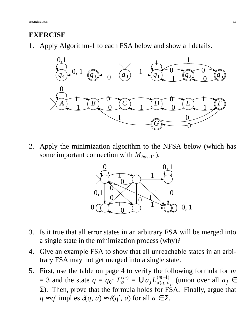### **EXERCISE**

1. Apply Algorithm-1 to each FSA below and show all details.



2. Apply the minimization algorithm to the NFSA below (which has some important connection with *Mhas*-11).



- 3. Is it true that all error states in an arbitrary FSA will be merged into a single state in the minimization process (why)?
- 4. Give an example FSA to show that all unreachable states in an arbitrary FSA may not get merged into a single state.
- 5. First, use the table on page 4 to verify the following formula for *m*  $=$  3 and the state  $q = q_0: L_q^{(m)}$  $q^{(m)}$  = ∪*a*<sub>j</sub>  $L_{\delta(q, a)}^{(m-1)}$  $\delta(q, a_j)$  (union over all  $a_j \in$ Σ). Then, prove that the formula holds for FSA. Finally, argue that  $q \approx q'$  implies  $\delta(q, a) \approx \delta(q', a)$  for all  $a \in \Sigma$ .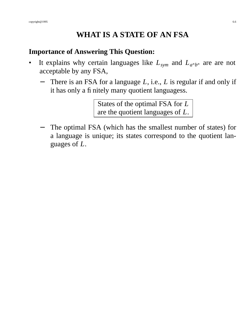## **WHAT ISASTATE OF AN FSA**

#### **Importance of Answering This Question:**

- It explains why certain languages like  $L_{sym}$  and  $L_{a^n b^n}$  are are not acceptable by any FSA,
	- There is an FSA for a language *L*, i.e., *L* is regular if and only if it has only a finitely many quotient languagess.

States of the optimal FSA for *L* are the quotient languages of *L*.

The optimal FSA (which has the smallest number of states) for a language is unique; its states correspond to the quotient languages of *L*.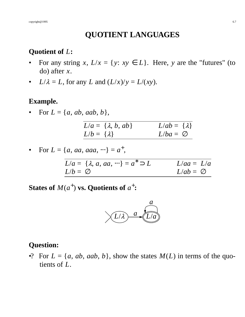# **QUOTIENT LANGUAGES**

#### **Quotient of** *L***:**

- For any string *x*,  $L/x = \{y: xy \in L\}$ . Here, *y* are the "futures" (to do) after *x*.
- *L*/ $\lambda = L$ , for any *L* and  $(L/x)/y = L/(xy)$ .

## **Example.**

 $For L = \{a, ab, aab, b\},\$ 

|                     | $L/a = \{\lambda, b, ab\}$ | $L/ab = \{\lambda\}$ |
|---------------------|----------------------------|----------------------|
| $L/b = \{\lambda\}$ |                            | $L/ba = \varnothing$ |

• For 
$$
L = \{a, aa, aaa, \dots\} = a^+
$$
,

|                     | $L/a = \{\lambda, a, aa, \cdots\} = a^* \supset L$ | $L/aa = L/a$         |  |
|---------------------|----------------------------------------------------|----------------------|--|
| $L/b = \varnothing$ |                                                    | $L/ab = \varnothing$ |  |

States of  $M(a^+)$  vs. Quotients of  $a^+$ :



#### **Question:**

•? For  $L = \{a, ab, aab, b\}$ , show the states  $M(L)$  in terms of the quotients of *L*.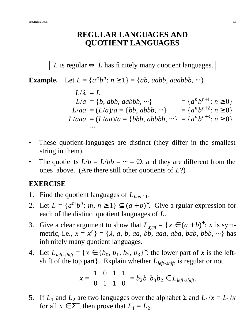### **REGULAR LANGUAGES AND QUOTIENT LANGUAGES**

*L* is regular  $\Leftrightarrow$  *L* has finitely many quotient languages.

**Example.** Let  $L = \{a^n b^n : n \ge 1\} = \{ab, aabb, aaabbb, \cdots\}.$ 

$$
L/\lambda = L
$$
  
\n
$$
L/a = \{b, abb, aabbb, \cdots\} = \{a^n b^{n+1}: n \ge 0\}
$$
  
\n
$$
L/aa = (L/a)/a = \{bb, abbb, \cdots\} = \{a^n b^{n+2}: n \ge 0\}
$$
  
\n
$$
L/aaa = (L/aa)/a = \{bbb, abbbb, \cdots\} = \{a^n b^{n+3}: n \ge 0\}
$$
  
\n...

- These quotient-languages are distinct (they differ in the smallest string in them).
- The quotients  $L/b = L/bb = \cdots = \emptyset$ , and they are different from the ones above. (Are there still other quotients of *L*?)

#### **EXERCISE**

- 1. Find the quotient languages of *Lhas*-11.
- 2. Let  $L = \{a^m b^n : m, n \ge 1\} \subseteq (a + b)^*$ . Give a rgular expression for each of the distinct quotient languages of *L*.
- 3. Give a clear argument to show that  $L_{sym} = \{x \in (a+b)^{+}: x \text{ is sym-} \}$ metric, i.e.,  $x = x^r$ } = { $\lambda$ ,  $a$ ,  $b$ ,  $aa$ ,  $bb$ ,  $aba$ ,  $ab$ ,  $bab$ ,  $bbb$ ,  $\cdots$ } has infinitely many quotient languages.
- 4. Let  $L_{\text{left-shift}} = \{x \in \{b_0, b_1, b_2, b_3\}^* : \text{the lower part of } x \text{ is the left$ shift of the top part}. Explain whether *Lleft*-*shift* is regular or not.

$$
x = \begin{pmatrix} 1 \\ 0 \end{pmatrix} \begin{pmatrix} 0 \\ 1 \end{pmatrix} \begin{pmatrix} 1 \\ 1 \end{pmatrix} \begin{pmatrix} 1 \\ 0 \end{pmatrix} = b_2 b_1 b_3 b_2 \in L_{\text{left-shift}}.
$$

5. If  $L_1$  and  $L_2$  are two languages over the alphabet  $\Sigma$  and  $L_1/x = L_2/x$ for all  $x \in \Sigma^{+}$ , then prove that  $L_1 = L_2$ .